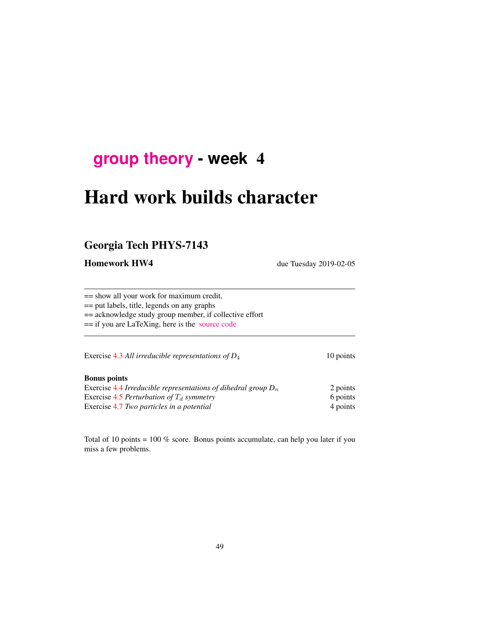# **[group theory](http://birdtracks.eu/courses/PHYS-7143-19/schedule.html) - week** 4

# Hard work builds character

# Georgia Tech PHYS-7143

Homework HW4 due Tuesday 2019-02-05

== show all your work for maximum credit,

== put labels, title, legends on any graphs

== acknowledge study group member, if collective effort

== if you are LaTeXing, here is the [source code](http://birdtracks.eu/courses/PHYS-7143-19/exerWeek4.tex)

Exercise 4.3 *All irreducible representations of D*<sub>4</sub> 10 points

### Bonus points

Exercise 4.4 *Irreducible representations of dihedral group*  $D_n$  2 points Exercise 4.5 *Perturbation of*  $T_d$  *symmetry* 6 points 6 points Exercise 4.7 *Two particles in a potential* 4 points 4 points

Total of 10 points = 100 % score. Bonus points accumulate, can help you later if you miss a few problems.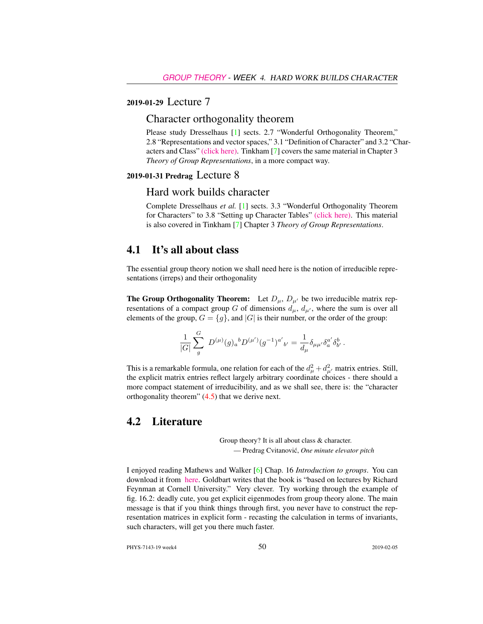## 2019-01-29 Lecture 7

## Character orthogonality theorem

Please study Dresselhaus [1] sects. 2.7 "Wonderful Orthogonality Theorem," 2.8 "Representations and vector spaces," 3.1 "Definition of Character" and 3.2 "Characters and Class" [\(click here\).](http://ChaosBook.org/library/Dresselhaus07.pdf) Tinkham [7] covers the same material in Chapter 3 *Theory of Group Representations*, in a more compact way.

## 2019-01-31 Predrag Lecture 8

### Hard work builds character

Complete Dresselhaus *et al.* [1] sects. 3.3 "Wonderful Orthogonality Theorem for Characters" to 3.8 "Setting up Character Tables" [\(click here\).](http://ChaosBook.org/library/Dresselhaus07.pdf) This material is also covered in Tinkham [7] Chapter 3 *Theory of Group Representations*.

# 4.1 It's all about class

The essential group theory notion we shall need here is the notion of irreducible representations (irreps) and their orthogonality

**The Group Orthogonality Theorem:** Let  $D_{\mu}$ ,  $D_{\mu'}$  be two irreducible matrix representations of a compact group G of dimensions  $d_{\mu}$ ,  $d_{\mu'}$ , where the sum is over all elements of the group,  $G = \{g\}$ , and  $|G|$  is their number, or the order of the group:

$$
\frac{1}{|G|}\sum_{g}^{G}\ D^{(\mu)}(g)_{a}{}^{b}D^{(\mu')}(g^{-1})^{a'}{}_{b'} = \frac{1}{d_{\mu}}\delta_{\mu\mu'}\delta_{a}^{a'}\delta_{b'}^{b}\,.
$$

This is a remarkable formula, one relation for each of the  $d_{\mu}^2 + d_{\mu'}^2$  matrix entries. Still, the explicit matrix entries reflect largely arbitrary coordinate choices - there should a more compact statement of irreducibility, and as we shall see, there is: the "character orthogonality theorem"  $(4.5)$  that we derive next.

## 4.2 Literature

Group theory? It is all about class & character. — Predrag Cvitanovic,´ *One minute elevator pitch*

I enjoyed reading Mathews and Walker [6] Chap. 16 *Introduction to groups*. You can download it from [here.](https://www.scribd.com/doc/225369262/Mathematical-Methods-of-Physics-2nd-Edition-Mathews-Walker) Goldbart writes that the book is "based on lectures by Richard Feynman at Cornell University." Very clever. Try working through the example of fig. 16.2: deadly cute, you get explicit eigenmodes from group theory alone. The main message is that if you think things through first, you never have to construct the representation matrices in explicit form - recasting the calculation in terms of invariants, such characters, will get you there much faster.

PHYS-7143-19 week4 50 2019-02-05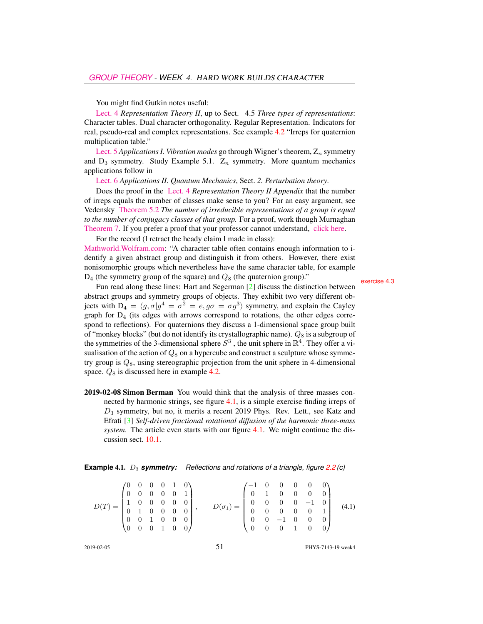You might find Gutkin notes useful:

[Lect. 4](http://birdtracks.eu/courses/PHYS-7143-19/groups.pdf) *Representation Theory II*, up to Sect. 4.5 *Three types of representations*: Character tables. Dual character orthogonality. Regular Representation. Indicators for real, pseudo-real and complex representations. See example 4.2 "Irreps for quaternion multiplication table."

[Lect. 5](http://birdtracks.eu/courses/PHYS-7143-19/groups.pdf) *Applications I. Vibration modes* go through Wigner's theorem,  $Z_n$  symmetry and  $D_3$  symmetry. Study Example 5.1.  $Z_n$  symmetry. More quantum mechanics applications follow in

[Lect. 6](http://birdtracks.eu/courses/PHYS-7143-19/groups.pdf) *Applications II. Quantum Mechanics*, Sect. *2. Perturbation theory*.

Does the proof in the [Lect. 4](http://birdtracks.eu/courses/PHYS-7143-19/groups.pdf) *Representation Theory II Appendix* that the number of irreps equals the number of classes make sense to you? For an easy argument, see Vedensky [Theorem 5.2](http://www.cmth.ph.ic.ac.uk/people/d.vvedensky/groups/Chapter5.pdf) *The number of irreducible representations of a group is equal to the number of conjugacy classes of that group.* For a proof, work though Murnaghan [Theorem 7.](http://www.math.toronto.edu/murnaghan/courses/mat445/ch2.pdf) If you prefer a proof that your professor cannot understand, [click here.](http://mathoverflow.net/questions/102879/bijection-between-irreducible-representations-and-conjugacy-classes-of-finite-gr)

For the record (I retract the heady claim I made in class):

[Mathworld.Wolfram.com:](http://mathworld.wolfram.com/CharacterTable.html) "A character table often contains enough information to identify a given abstract group and distinguish it from others. However, there exist nonisomorphic groups which nevertheless have the same character table, for example  $D_4$  (the symmetry group of the square) and  $Q_8$  (the quaternion group)." exercise 4.3

Fun read along these lines: Hart and Segerman [2] discuss the distinction between abstract groups and symmetry groups of objects. They exhibit two very different objects with  $D_4 = \langle g, \sigma | g^4 = \sigma^2 = e, g\sigma = \sigma g^3 \rangle$  symmetry, and explain the Cayley graph for D<sup>4</sup> (its edges with arrows correspond to rotations, the other edges correspond to reflections). For quaternions they discuss a 1-dimensional space group built of "monkey blocks" (but do not identify its crystallographic name).  $Q_8$  is a subgroup of the symmetries of the 3-dimensional sphere  $S^3$ , the unit sphere in  $\mathbb{R}^4$ . They offer a visualisation of the action of  $Q_8$  on a hypercube and construct a sculpture whose symmetry group is  $Q_8$ , using stereographic projection from the unit sphere in 4-dimensional space.  $Q_8$  is discussed here in example 4.2.

2019-02-08 Simon Berman You would think that the analysis of three masses connected by harmonic strings, see figure 4.1, is a simple exercise finding irreps of  $D_3$  symmetry, but no, it merits a recent 2019 Phys. Rev. Lett., see Katz and Efrati [3] *Self-driven fractional rotational diffusion of the harmonic three-mass system*. The article even starts with our figure 4.1. We might continue the discussion sect. 10.1.

#### **Example 4.1.**  $D_3$  **symmetry:** Reflections and rotations of a triangle, figure 2.2(c)

$$
D(T) = \begin{pmatrix} 0 & 0 & 0 & 0 & 1 & 0 \\ 0 & 0 & 0 & 0 & 0 & 1 \\ 1 & 0 & 0 & 0 & 0 & 0 \\ 0 & 1 & 0 & 0 & 0 & 0 \\ 0 & 0 & 1 & 0 & 0 & 0 \\ 0 & 0 & 0 & 1 & 0 & 0 \end{pmatrix}, \qquad D(\sigma_1) = \begin{pmatrix} -1 & 0 & 0 & 0 & 0 & 0 \\ 0 & 1 & 0 & 0 & 0 & 0 \\ 0 & 0 & 0 & 0 & -1 & 0 \\ 0 & 0 & 0 & 0 & 0 & 1 \\ 0 & 0 & -1 & 0 & 0 & 0 \\ 0 & 0 & 0 & 1 & 0 & 0 \end{pmatrix} \quad (4.1)
$$

2019-02-05 **51** PHYS-7143-19 week4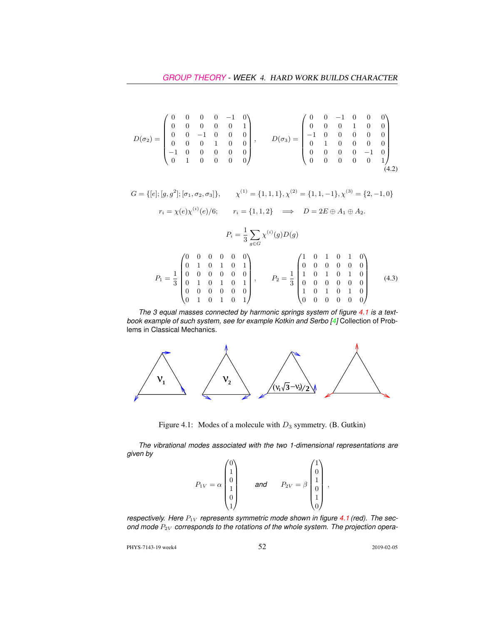$$
D(\sigma_2) = \begin{pmatrix} 0 & 0 & 0 & 0 & -1 & 0 \\ 0 & 0 & 0 & 0 & 0 & 1 \\ 0 & 0 & -1 & 0 & 0 & 0 \\ 0 & 0 & 0 & 1 & 0 & 0 \\ -1 & 0 & 0 & 0 & 0 & 0 \\ 0 & 1 & 0 & 0 & 0 & 0 \end{pmatrix}, \qquad D(\sigma_3) = \begin{pmatrix} 0 & 0 & -1 & 0 & 0 & 0 \\ 0 & 0 & 0 & 1 & 0 & 0 \\ -1 & 0 & 0 & 0 & 0 & 0 \\ 0 & 1 & 0 & 0 & 0 & 0 \\ 0 & 0 & 0 & 0 & -1 & 0 \\ 0 & 0 & 0 & 0 & 0 & 1 \end{pmatrix}
$$
(4.2)

$$
G = \{ [e]; [g, g^2]; [\sigma_1, \sigma_2, \sigma_3] \}, \qquad \chi^{(1)} = \{1, 1, 1\}, \chi^{(2)} = \{1, 1, -1\}, \chi^{(3)} = \{2, -1, 0\}
$$

$$
r_i = \chi(e)\chi^{(i)}(e)/6; \qquad r_i = \{1, 1, 2\} \quad \Longrightarrow \quad D = 2E \oplus A_1 \oplus A_2.
$$

$$
P_i = \frac{1}{3} \sum_{g \in G} \chi^{(i)}(g) D(g)
$$
  
\n
$$
P_1 = \frac{1}{3} \begin{pmatrix} 0 & 0 & 0 & 0 & 0 & 0 \\ 0 & 1 & 0 & 1 & 0 & 1 \\ 0 & 0 & 0 & 0 & 0 & 0 \\ 0 & 1 & 0 & 1 & 0 & 1 \\ 0 & 0 & 0 & 0 & 0 & 0 \\ 0 & 0 & 0 & 0 & 0 & 0 \\ 0 & 0 & 0 & 0 & 0 & 0 \end{pmatrix}, \qquad P_2 = \frac{1}{3} \begin{pmatrix} 1 & 0 & 1 & 0 & 1 & 0 \\ 0 & 0 & 0 & 0 & 0 & 0 \\ 1 & 0 & 1 & 0 & 1 & 0 \\ 0 & 0 & 0 & 0 & 0 & 0 \\ 1 & 0 & 1 & 0 & 1 & 0 \\ 1 & 0 & 1 & 0 & 1 & 0 \\ 1 & 0 & 1 & 0 & 1 & 0 \\ 1 & 0 & 1 & 0 & 1 & 0 \\ 1 & 0 & 1 & 0 & 1 & 0 \\ 1 & 0 & 1 & 0 & 1 & 0 \\ 1 & 0 & 1 & 0 & 1 & 0 \\ 1 & 0 & 0 & 0 & 0 & 1 \\ 1 & 0 & 0 & 0 & 0 & 0 \\ 1 & 0 & 0 & 0 & 0 & 0 \\ 1 & 0 & 0 & 0 & 0 & 0 \\ 1 & 0 & 0 & 0 & 0 & 0 \\ 1 & 0 & 0 & 0 & 0 & 0 \\ 1 & 0 & 0 & 0 & 0 & 0 \\ 1 & 0 & 0 & 0 & 0 & 0 \\ 1 & 0 & 0 & 0 & 0 & 0 \\ 1 & 0 & 0 & 0 & 0 & 0 & 0 \\ 1 & 0 & 0 & 0 & 0 & 0 & 0 \\ 1 & 0 & 0 & 0 & 0 & 0 & 0 \\ 1 & 0 & 0 & 0 & 0 & 0 & 0 \\ 1 & 0 & 0 & 0 & 0 & 0 & 0 \\ 1 & 0 & 0 & 0 & 0 & 0 & 0 \\ 1 & 0 & 0 & 0 & 0 & 0 & 0 \\ 1 & 0 & 0 & 0 & 0 & 0 & 0 \\ 1 & 0 & 0 & 0 & 0 & 0 & 0 \\
$$

1 0 1 0 1 0 0 0 0 0 0 0

*The 3 equal masses connected by harmonic springs system of figure 4.1 is a textbook example of such system, see for example Kotkin and Serbo [4]* Collection of Problems in Classical Mechanics*.*

0 0 0 0 0 0 0 1 0 1 0 1



Figure 4.1: Modes of a molecule with  $D_3$  symmetry. (B. Gutkin)

*The vibrational modes associated with the two 1-dimensional representations are given by*

$$
P_{1V} = \alpha \begin{pmatrix} 0 \\ 1 \\ 0 \\ 1 \\ 0 \\ 1 \end{pmatrix} \quad \text{and} \quad P_{2V} = \beta \begin{pmatrix} 1 \\ 0 \\ 1 \\ 0 \\ 1 \\ 0 \end{pmatrix},
$$

*respectively. Here*  $P_{1V}$  *represents symmetric mode shown in figure 4.1 (red). The sec*ond mode  $P_{2V}$  corresponds to the rotations of the whole system. The projection opera-

PHYS-7143-19 week4 52 2019-02-05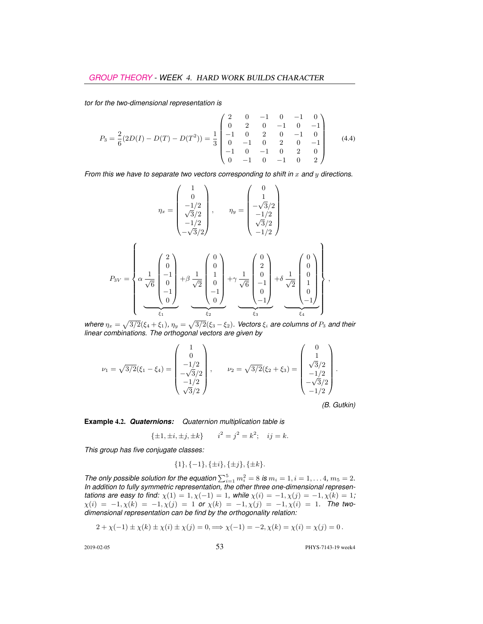*tor for the two-dimensional representation is*

$$
P_3 = \frac{2}{6}(2D(I) - D(T) - D(T^2)) = \frac{1}{3} \begin{pmatrix} 2 & 0 & -1 & 0 & -1 & 0 \\ 0 & 2 & 0 & -1 & 0 & -1 \\ -1 & 0 & 2 & 0 & -1 & 0 \\ 0 & -1 & 0 & 2 & 0 & -1 \\ -1 & 0 & -1 & 0 & 2 & 0 \\ 0 & -1 & 0 & -1 & 0 & 2 \end{pmatrix}
$$
(4.4)

*From this we have to separate two vectors corresponding to shift in* x and y directions.

$$
\eta_x = \begin{pmatrix} 1 \\ 0 \\ -1/2 \\ \sqrt{3}/2 \\ -1/2 \\ -\sqrt{3}/2 \end{pmatrix}, \qquad \eta_y = \begin{pmatrix} 0 \\ 1 \\ -\sqrt{3}/2 \\ -1/2 \\ \sqrt{3}/2 \\ -1/2 \end{pmatrix}
$$

$$
P_{3V} = \begin{pmatrix} 2 \\ 0 \\ \sqrt{6} \\ 0 \\ -1 \\ 0 \end{pmatrix} + \beta \frac{1}{\sqrt{2}} \begin{pmatrix} 0 \\ 0 \\ 1 \\ 0 \\ -1 \\ 0 \end{pmatrix} + \gamma \frac{1}{\sqrt{6}} \begin{pmatrix} 0 \\ 2 \\ 0 \\ -1 \\ 0 \\ -1 \end{pmatrix} + \delta \frac{1}{\sqrt{2}} \begin{pmatrix} 0 \\ 0 \\ 0 \\ 1 \\ 0 \\ -1 \end{pmatrix},
$$

*where*  $\eta_x = \sqrt{3/2}(\xi_4 + \xi_1)$ ,  $\eta_y = \sqrt{3/2}(\xi_3 - \xi_2)$ . Vectors  $\xi_i$  are columns of  $P_3$  and their *linear combinations. The orthogonal vectors are given by*

$$
\nu_1 = \sqrt{3/2}(\xi_1 - \xi_4) = \begin{pmatrix} 1 \\ 0 \\ -1/2 \\ -\sqrt{3}/2 \\ -1/2 \\ \sqrt{3}/2 \end{pmatrix}, \qquad \nu_2 = \sqrt{3/2}(\xi_2 + \xi_3) = \begin{pmatrix} 0 \\ 1 \\ \sqrt{3}/2 \\ -1/2 \\ -\sqrt{3}/2 \\ -1/2 \end{pmatrix}.
$$

*(B. Gutkin)*

**Example** 4.2. *Quaternions: Quaternion multiplication table is*

$$
\{\pm 1, \pm i, \pm j, \pm k\} \qquad i^2 = j^2 = k^2; \quad ij = k.
$$

*This group has five conjugate classes:*

$$
\{1\}, \{-1\}, \{\pm i\}, \{\pm j\}, \{\pm k\}.
$$

*The only possible solution for the equation*  $\sum_{i=1}^{5} m_i^2 = 8$  *is*  $m_i = 1, i = 1, \ldots 4, m_5 = 2$ *. In addition to fully symmetric representation, the other three one-dimensional representations are easy to find:*  $\chi(1) = 1, \chi(-1) = 1$ *, while*  $\chi(i) = -1, \chi(j) = -1, \chi(k) = 1$ *;*  $\chi(i) = -1, \chi(k) = -1, \chi(j) = 1$  or  $\chi(k) = -1, \chi(j) = -1, \chi(i) = 1$ . The two*dimensional representation can be find by the orthogonality relation:*

$$
2 + \chi(-1) \pm \chi(k) \pm \chi(i) \pm \chi(j) = 0, \Longrightarrow \chi(-1) = -2, \chi(k) = \chi(i) = \chi(j) = 0.
$$

2019-02-05 53 PHYS-7143-19 week4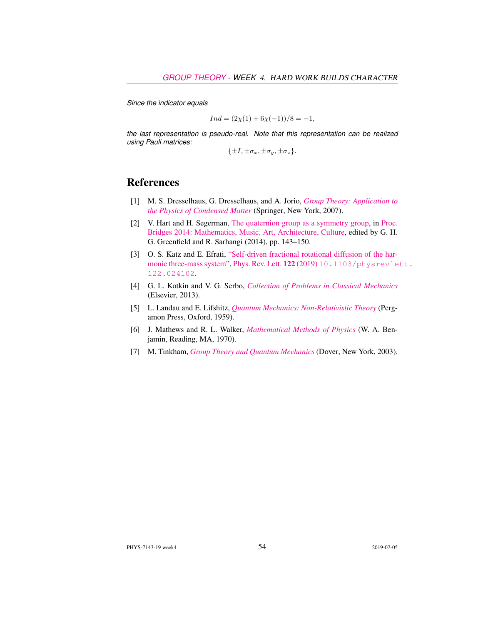*Since the indicator equals*

$$
Ind = (2\chi(1) + 6\chi(-1))/8 = -1,
$$

*the last representation is pseudo-real. Note that this representation can be realized using Pauli matrices:*

 $\{\pm I, \pm \sigma_x, \pm \sigma_y, \pm \sigma_z\}.$ 

## References

- [1] M. S. Dresselhaus, G. Dresselhaus, and A. Jorio, *[Group Theory: Application to](http://dx.doi.org/10.1007/978-3-540-32899-5) [the Physics of Condensed Matter](http://dx.doi.org/10.1007/978-3-540-32899-5)* (Springer, New York, 2007).
- [2] V. Hart and H. Segerman, [The quaternion group as a symmetry group,](http://archive.bridgesmathart.org/2014/bridges2014-143.html) in [Proc.](http://archive.bridgesmathart.org/2014/bridges2014-143.html) [Bridges 2014: Mathematics, Music, Art, Architecture, Culture,](http://archive.bridgesmathart.org/2014/bridges2014-143.html) edited by G. H. G. Greenfield and R. Sarhangi (2014), pp. 143–150.
- [3] O. S. Katz and E. Efrati, ["Self-driven fractional rotational diffusion of the har](http://dx.doi.org/10.1103/physrevlett.122.024102)[monic three-mass system",](http://dx.doi.org/10.1103/physrevlett.122.024102) [Phys. Rev. Lett.](http://dx.doi.org/10.1103/physrevlett.122.024102) 122 (2019) [10.1103/physrevle](http://dx.doi.org/10.1103/physrevlett.122.024102)tt. [122.024102](http://dx.doi.org/10.1103/physrevlett.122.024102).
- [4] G. L. Kotkin and V. G. Serbo, *[Collection of Problems in Classical Mechanics](http://books.google.com/books?vid=ISBN9781483186610)* (Elsevier, 2013).
- [5] L. Landau and E. Lifshitz, *[Quantum Mechanics: Non-Relativistic Theory](https://archive.org/search.php?query=creator%3A%22L.D.+Landau+%26+E.M.+Lifshitz%22)* (Pergamon Press, Oxford, 1959).
- [6] J. Mathews and R. L. Walker, *[Mathematical Methods of Physics](http://dx.doi.org/10.2307/2316002)* (W. A. Benjamin, Reading, MA, 1970).
- [7] M. Tinkham, *[Group Theory and Quantum Mechanics](http://dx.doi.org/10.1016/c2013-0-01646-5)* (Dover, New York, 2003).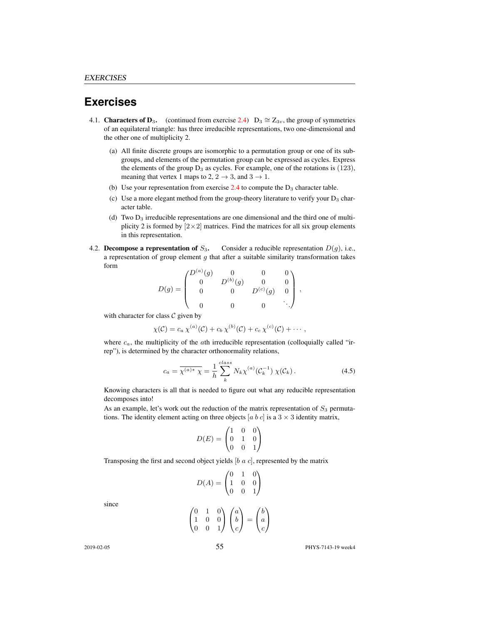## **Exercises**

- 4.1. **Characters of D**<sub>3</sub>. (continued from exercise 2.4) D<sub>3</sub>  $\cong Z_{3v}$ , the group of symmetries of an equilateral triangle: has three irreducible representations, two one-dimensional and the other one of multiplicity 2.
	- (a) All finite discrete groups are isomorphic to a permutation group or one of its subgroups, and elements of the permutation group can be expressed as cycles. Express the elements of the group  $D_3$  as cycles. For example, one of the rotations is  $(123)$ , meaning that vertex 1 maps to 2,  $2 \rightarrow 3$ , and  $3 \rightarrow 1$ .
	- (b) Use your representation from exercise  $2.4$  to compute the  $D_3$  character table.
	- (c) Use a more elegant method from the group-theory literature to verify your  $D_3$  character table.
	- (d) Two  $D_3$  irreducible representations are one dimensional and the third one of multiplicity 2 is formed by  $[2 \times 2]$  matrices. Find the matrices for all six group elements in this representation.
- 4.2. Decompose a representation of  $S_3$ . Consider a reducible representation  $D(g)$ , i.e., a representation of group element  $g$  that after a suitable similarity transformation takes form

$$
D(g) = \begin{pmatrix} D^{(a)}(g) & 0 & 0 & 0 \\ 0 & D^{(b)}(g) & 0 & 0 \\ 0 & 0 & D^{(c)}(g) & 0 \\ 0 & 0 & 0 & \ddots \end{pmatrix},
$$

with character for class  $C$  given by

$$
\chi(C) = c_a \chi^{(a)}(C) + c_b \chi^{(b)}(C) + c_c \chi^{(c)}(C) + \cdots,
$$

where  $c_a$ , the multiplicity of the  $a$ th irreducible representation (colloquially called "irrep"), is determined by the character orthonormality relations,

$$
c_a = \overline{\chi^{(a)*} \chi} = \frac{1}{h} \sum_{k}^{class} N_k \chi^{(a)}(\mathcal{C}_k^{-1}) \chi(\mathcal{C}_k).
$$
 (4.5)

Knowing characters is all that is needed to figure out what any reducible representation decomposes into!

As an example, let's work out the reduction of the matrix representation of  $S_3$  permutations. The identity element acting on three objects [a b c] is a  $3 \times 3$  identity matrix,

$$
D(E) = \begin{pmatrix} 1 & 0 & 0 \\ 0 & 1 & 0 \\ 0 & 0 & 1 \end{pmatrix}
$$

Transposing the first and second object yields  $[b \ a \ c]$ , represented by the matrix

$$
D(A) = \begin{pmatrix} 0 & 1 & 0 \\ 1 & 0 & 0 \\ 0 & 0 & 1 \end{pmatrix}
$$
  

$$
\begin{pmatrix} 0 & 1 & 0 \\ 1 & 0 & 0 \end{pmatrix} \begin{pmatrix} a \\ b \end{pmatrix} = \begin{pmatrix} b \\ a \end{pmatrix}
$$

since

$$
\begin{pmatrix} 0 & 1 & 0 \\ 1 & 0 & 0 \\ 0 & 0 & 1 \end{pmatrix} \begin{pmatrix} a \\ b \\ c \end{pmatrix} = \begin{pmatrix} b \\ a \\ c \end{pmatrix}
$$

2019-02-05 55 PHYS-7143-19 week4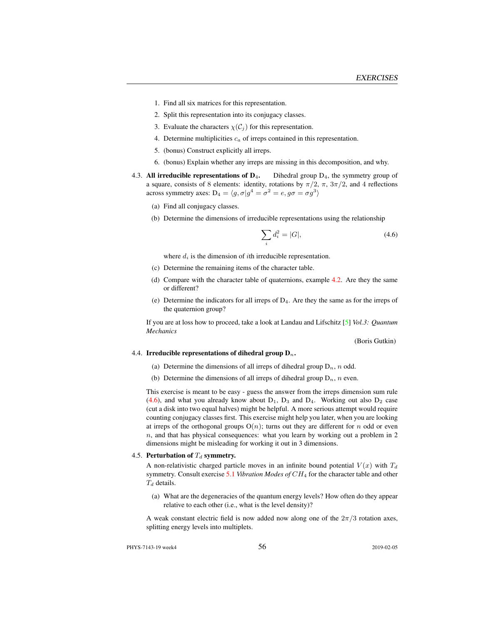- 1. Find all six matrices for this representation.
- 2. Split this representation into its conjugacy classes.
- 3. Evaluate the characters  $\chi(\mathcal{C}_i)$  for this representation.
- 4. Determine multiplicities  $c_a$  of irreps contained in this representation.
- 5. (bonus) Construct explicitly all irreps.
- 6. (bonus) Explain whether any irreps are missing in this decomposition, and why.
- 4.3. All irreducible representations of  $D_4$ . Dihedral group  $D_4$ , the symmetry group of a square, consists of 8 elements: identity, rotations by  $\pi/2$ ,  $\pi$ ,  $3\pi/2$ , and 4 reflections across symmetry axes:  $D_4 = \langle g, \sigma | g^4 = \sigma^2 = e, g\sigma = \sigma g^3 \rangle$ 
	- (a) Find all conjugacy classes.
	- (b) Determine the dimensions of irreducible representations using the relationship

$$
\sum_{i} d_i^2 = |G|,\t\t(4.6)
$$

where  $d_i$  is the dimension of *i*th irreducible representation.

- (c) Determine the remaining items of the character table.
- (d) Compare with the character table of quaternions, example 4.2. Are they the same or different?
- (e) Determine the indicators for all irreps of  $D_4$ . Are they the same as for the irreps of the quaternion group?

If you are at loss how to proceed, take a look at Landau and Lifschitz [5] *Vol.3: Quantum Mechanics*

(Boris Gutkin)

#### 4.4. Irreducible representations of dihedral group  $D_n$ .

- (a) Determine the dimensions of all irreps of dihedral group  $D_n$ , n odd.
- (b) Determine the dimensions of all irreps of dihedral group  $D_n$ , n even.

This exercise is meant to be easy - guess the answer from the irreps dimension sum rule (4.6), and what you already know about  $D_1$ ,  $D_3$  and  $D_4$ . Working out also  $D_2$  case (cut a disk into two equal halves) might be helpful. A more serious attempt would require counting conjugacy classes first. This exercise might help you later, when you are looking at irreps of the orthogonal groups  $O(n)$ ; turns out they are different for n odd or even  $n$ , and that has physical consequences: what you learn by working out a problem in 2 dimensions might be misleading for working it out in 3 dimensions.

#### 4.5. Perturbation of  $T_d$  symmetry.

A non-relativistic charged particle moves in an infinite bound potential  $V(x)$  with  $T<sub>d</sub>$ symmetry. Consult exercise 5.1 *Vibration Modes of* CH<sup>4</sup> for the character table and other  $T_d$  details.

(a) What are the degeneracies of the quantum energy levels? How often do they appear relative to each other (i.e., what is the level density)?

A weak constant electric field is now added now along one of the  $2\pi/3$  rotation axes, splitting energy levels into multiplets.

PHYS-7143-19 week4 56 2019-02-05